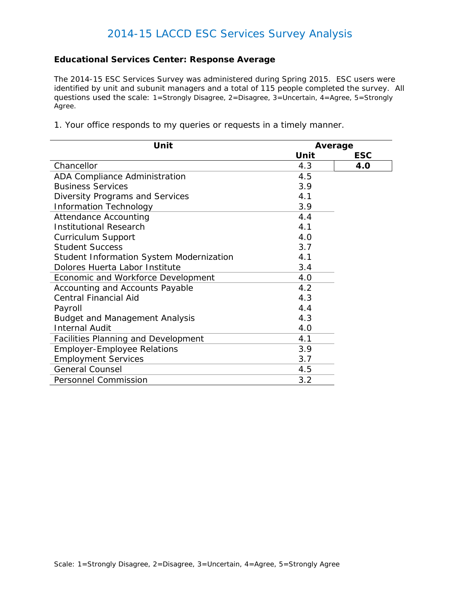#### **Educational Services Center: Response Average**

*The 2014-15 ESC Services Survey was administered during Spring 2015. ESC users were identified by unit and subunit managers and a total of 115 people completed the survey. All questions used the scale: 1=Strongly Disagree, 2=Disagree, 3=Uncertain, 4=Agree, 5=Strongly Agree.*

1. Your office responds to my queries or requests in a timely manner.

| Unit                                       |      | Average    |  |
|--------------------------------------------|------|------------|--|
|                                            | Unit | <b>ESC</b> |  |
| Chancellor                                 | 4.3  | 4.0        |  |
| ADA Compliance Administration              | 4.5  |            |  |
| <b>Business Services</b>                   | 3.9  |            |  |
| Diversity Programs and Services            | 4.1  |            |  |
| <b>Information Technology</b>              | 3.9  |            |  |
| <b>Attendance Accounting</b>               | 4.4  |            |  |
| <b>Institutional Research</b>              | 4.1  |            |  |
| <b>Curriculum Support</b>                  | 4.0  |            |  |
| <b>Student Success</b>                     | 3.7  |            |  |
| Student Information System Modernization   | 4.1  |            |  |
| Dolores Huerta Labor Institute             | 3.4  |            |  |
| Economic and Workforce Development         | 4.0  |            |  |
| Accounting and Accounts Payable            | 4.2  |            |  |
| <b>Central Financial Aid</b>               | 4.3  |            |  |
| Payroll                                    | 4.4  |            |  |
| <b>Budget and Management Analysis</b>      | 4.3  |            |  |
| <b>Internal Audit</b>                      | 4.0  |            |  |
| <b>Facilities Planning and Development</b> | 4.1  |            |  |
| <b>Employer-Employee Relations</b>         | 3.9  |            |  |
| <b>Employment Services</b>                 | 3.7  |            |  |
| <b>General Counsel</b>                     | 4.5  |            |  |
| <b>Personnel Commission</b>                | 3.2  |            |  |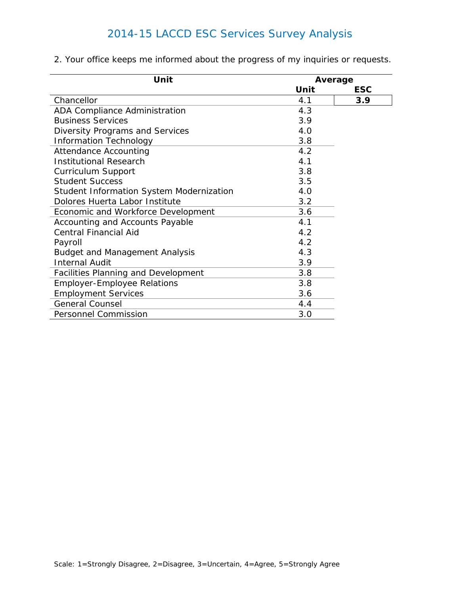| Unit                                            |      | Average    |  |
|-------------------------------------------------|------|------------|--|
|                                                 | Unit | <b>ESC</b> |  |
| Chancellor                                      | 4.1  | 3.9        |  |
| ADA Compliance Administration                   | 4.3  |            |  |
| <b>Business Services</b>                        | 3.9  |            |  |
| Diversity Programs and Services                 | 4.0  |            |  |
| <b>Information Technology</b>                   | 3.8  |            |  |
| <b>Attendance Accounting</b>                    | 4.2  |            |  |
| <b>Institutional Research</b>                   | 4.1  |            |  |
| <b>Curriculum Support</b>                       | 3.8  |            |  |
| <b>Student Success</b>                          | 3.5  |            |  |
| <b>Student Information System Modernization</b> | 4.0  |            |  |
| Dolores Huerta Labor Institute                  | 3.2  |            |  |
| Economic and Workforce Development              | 3.6  |            |  |
| Accounting and Accounts Payable                 | 4.1  |            |  |
| <b>Central Financial Aid</b>                    | 4.2  |            |  |
| Payroll                                         | 4.2  |            |  |
| <b>Budget and Management Analysis</b>           | 4.3  |            |  |
| <b>Internal Audit</b>                           | 3.9  |            |  |
| Facilities Planning and Development             | 3.8  |            |  |
| <b>Employer-Employee Relations</b>              | 3.8  |            |  |
| <b>Employment Services</b>                      | 3.6  |            |  |
| <b>General Counsel</b>                          | 4.4  |            |  |
| <b>Personnel Commission</b>                     | 3.0  |            |  |

2. Your office keeps me informed about the progress of my inquiries or requests.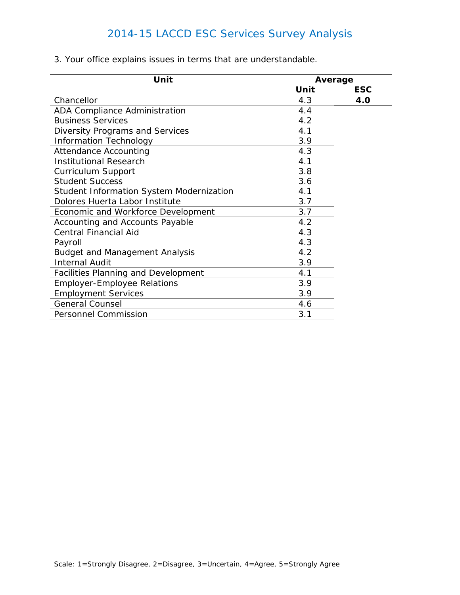| Unit                                            |      | Average    |  |
|-------------------------------------------------|------|------------|--|
|                                                 | Unit | <b>ESC</b> |  |
| Chancellor                                      | 4.3  | <b>4.0</b> |  |
| ADA Compliance Administration                   | 4.4  |            |  |
| <b>Business Services</b>                        | 4.2  |            |  |
| Diversity Programs and Services                 | 4.1  |            |  |
| <b>Information Technology</b>                   | 3.9  |            |  |
| <b>Attendance Accounting</b>                    | 4.3  |            |  |
| <b>Institutional Research</b>                   | 4.1  |            |  |
| <b>Curriculum Support</b>                       | 3.8  |            |  |
| <b>Student Success</b>                          | 3.6  |            |  |
| <b>Student Information System Modernization</b> | 4.1  |            |  |
| Dolores Huerta Labor Institute                  | 3.7  |            |  |
| Economic and Workforce Development              | 3.7  |            |  |
| Accounting and Accounts Payable                 | 4.2  |            |  |
| <b>Central Financial Aid</b>                    | 4.3  |            |  |
| Payroll                                         | 4.3  |            |  |
| <b>Budget and Management Analysis</b>           | 4.2  |            |  |
| <b>Internal Audit</b>                           | 3.9  |            |  |
| Facilities Planning and Development             | 4.1  |            |  |
| <b>Employer-Employee Relations</b>              | 3.9  |            |  |
| <b>Employment Services</b>                      | 3.9  |            |  |
| <b>General Counsel</b>                          | 4.6  |            |  |
| <b>Personnel Commission</b>                     | 3.1  |            |  |

3. Your office explains issues in terms that are understandable.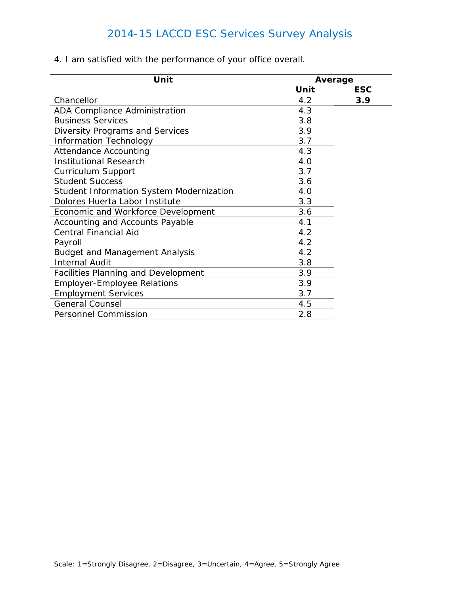| Unit                                            |      | Average    |  |
|-------------------------------------------------|------|------------|--|
|                                                 | Unit | <b>ESC</b> |  |
| Chancellor                                      | 4.2  | 3.9        |  |
| ADA Compliance Administration                   | 4.3  |            |  |
| <b>Business Services</b>                        | 3.8  |            |  |
| Diversity Programs and Services                 | 3.9  |            |  |
| <b>Information Technology</b>                   | 3.7  |            |  |
| <b>Attendance Accounting</b>                    | 4.3  |            |  |
| <b>Institutional Research</b>                   | 4.0  |            |  |
| Curriculum Support                              | 3.7  |            |  |
| <b>Student Success</b>                          | 3.6  |            |  |
| <b>Student Information System Modernization</b> | 4.0  |            |  |
| Dolores Huerta Labor Institute                  | 3.3  |            |  |
| Economic and Workforce Development              | 3.6  |            |  |
| Accounting and Accounts Payable                 | 4.1  |            |  |
| <b>Central Financial Aid</b>                    | 4.2  |            |  |
| Payroll                                         | 4.2  |            |  |
| <b>Budget and Management Analysis</b>           | 4.2  |            |  |
| <b>Internal Audit</b>                           | 3.8  |            |  |
| Facilities Planning and Development             | 3.9  |            |  |
| <b>Employer-Employee Relations</b>              | 3.9  |            |  |
| <b>Employment Services</b>                      | 3.7  |            |  |
| <b>General Counsel</b>                          | 4.5  |            |  |
| <b>Personnel Commission</b>                     | 2.8  |            |  |

4. I am satisfied with the performance of your office overall.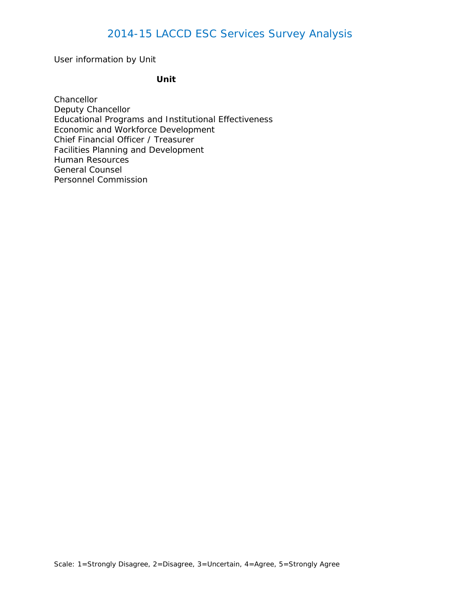User information by Unit

#### **Unit**

**Chancellor** Deputy Chancellor Educational Programs and Institutional Effectiveness Economic and Workforce Development Chief Financial Officer / Treasurer Facilities Planning and Development Human Resources General Counsel Personnel Commission